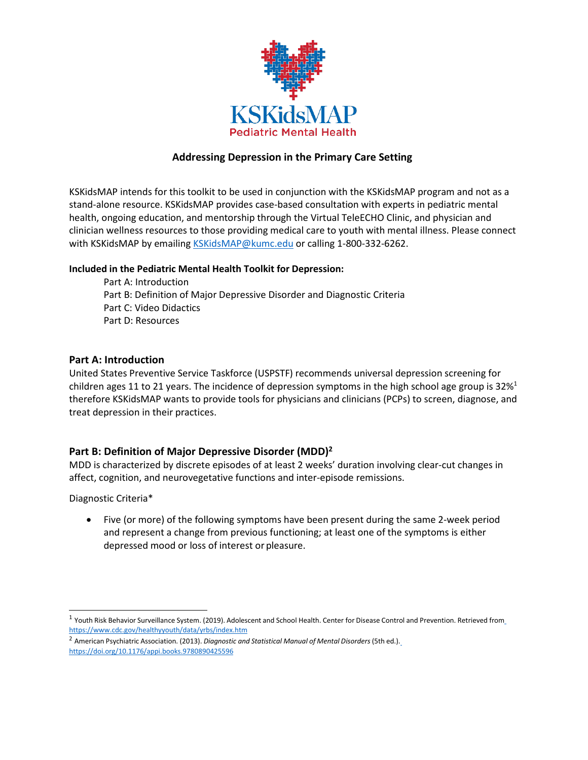

# **Addressing Depression in the Primary Care Setting**

KSKidsMAP intends for this toolkit to be used in conjunction with the KSKidsMAP program and not as a stand-alone resource. KSKidsMAP provides case-based consultation with experts in pediatric mental health, ongoing education, and mentorship through the Virtual TeleECHO Clinic, and physician and clinician wellness resources to those providing medical care to youth with mental illness. Please connect with KSKidsMAP by emailing [KSKidsMAP@kumc.edu](mailto:KSKidsMAP@kumc.edu) or calling 1-800-332-6262.

#### **Included in the Pediatric Mental Health Toolkit for Depression:**

Part A: Introduction Part B: Definition of Major Depressive Disorder and Diagnostic Criteria Part C: Video Didactics Part D: Resources

## **Part A: Introduction**

United States Preventive Service Taskforce (USPSTF) recommends universal depression screening for children ages 11 to 21 years. The incidence of depression symptoms in the high school age group is  $32\%$ <sup>1</sup> therefore KSKidsMAP wants to provide tools for physicians and clinicians (PCPs) to screen, diagnose, and treat depression in their practices.

## **Part B: Definition of Major Depressive Disorder (MDD[\)2](#page-0-1)**

MDD is characterized by discrete episodes of at least 2 weeks' duration involving clear-cut changes in affect, cognition, and neurovegetative functions and inter-episode remissions.

Diagnostic Criteria\*

• Five (or more) of the following symptoms have been present during the same 2-week period and represent a change from previous functioning; at least one of the symptoms is either depressed mood or loss of interest or pleasure.

<span id="page-0-0"></span> $1$  Youth Risk Behavior Surveillance System. (2019). Adolescent and School Health. Center for Disease Control and Prevention. Retrieved from <https://www.cdc.gov/healthyyouth/data/yrbs/index.htm>

<span id="page-0-1"></span><sup>2</sup> American Psychiatric Association. (2013). *Diagnostic and Statistical Manual of Mental Disorders* (5th ed.)[.](https://doi.org/10.1176/appi.books.9780890425596) <https://doi.org/10.1176/appi.books.9780890425596>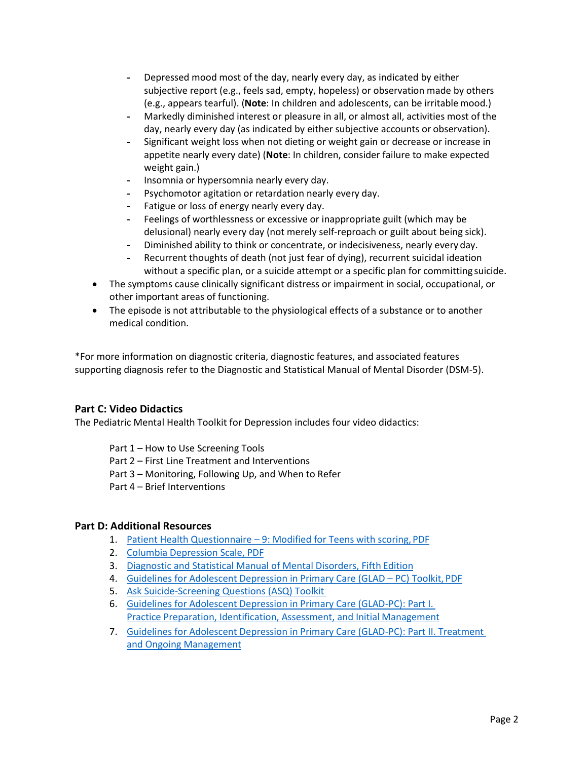- Depressed mood most of the day, nearly every day, as indicated by either subjective report (e.g., feels sad, empty, hopeless) or observation made by others (e.g., appears tearful). (**Note**: In children and adolescents, can be irritablemood.)
- Markedly diminished interest or pleasure in all, or almost all, activities most of the day, nearly every day (as indicated by either subjective accounts or observation).
- Significant weight loss when not dieting or weight gain or decrease or increase in appetite nearly every date) (**Note**: In children, consider failure to make expected weight gain.)
- Insomnia or hypersomnia nearly every day.
- Psychomotor agitation or retardation nearly every day.
- Fatigue or loss of energy nearly every day.
- Feelings of worthlessness or excessive or inappropriate guilt (which may be delusional) nearly every day (not merely self-reproach or guilt about being sick).
- Diminished ability to think or concentrate, or indecisiveness, nearly every day.
- Recurrent thoughts of death (not just fear of dying), recurrent suicidal ideation without a specific plan, or a suicide attempt or a specific plan for committing suicide.
- The symptoms cause clinically significant distress or impairment in social, occupational, or other important areas of functioning.
- The episode is not attributable to the physiological effects of a substance or to another medical condition.

\*For more information on diagnostic criteria, diagnostic features, and associated features supporting diagnosis refer to the Diagnostic and Statistical Manual of Mental Disorder (DSM-5).

## **Part C: Video Didactics**

The Pediatric Mental Health Toolkit for Depression includes four video didactics:

- Part 1 How to Use Screening Tools
- Part 2 First Line Treatment and Interventions
- Part 3 Monitoring, Following Up, and When to Refer
- Part 4 Brief Interventions

#### **Part D: Additional Resources**

- 1. Patient Health Questionnaire [9: Modified for Teens with scoring,](https://www.aacap.org/App_Themes/AACAP/docs/member_resources/toolbox_for_clinical_practice_and_outcomes/symptoms/GLAD-PC_PHQ-9.pdf) PDF
- 2. [Columbia Depression Scale,](https://www.thereachinstitute.org/images/columbia_depression_scale_teen_parent.pdf) PDF
- 3. [Diagnostic and Statistical Manual of Mental Disorders, Fifth](https://dsm.psychiatryonline.org/doi/book/10.1176/appi.books.9780890425596) Edition
- 4. [Guidelines for Adolescent Depression in Primary Care \(GLAD –](https://www.thereachinstitute.org/images/pdfs/glad-pc-toolkit-2018.pdf) PC) Toolkit, PDF
- 5. [Ask Suicide-Screening Questions \(ASQ\)](https://www.nimh.nih.gov/research/research-conducted-at-nimh/asq-toolkit-materials/) Toolkit
- 6. [Guidelines for Adolescent Depression in Primary Care \(GLAD-PC\): Part I.](https://pediatrics.aappublications.org/content/141/3/e20174081)  [Practice](https://pediatrics.aappublications.org/content/141/3/e20174081) [Preparation, Identification, Assessment, and Initial](https://pediatrics.aappublications.org/content/141/3/e20174081) Management
- 7. [Guidelines for Adolescent Depression in Primary Care \(GLAD-PC\): Part II. Treatment](https://pediatrics.aappublications.org/content/141/3/e20174082)  [and](https://pediatrics.aappublications.org/content/141/3/e20174082) Ongoing [Management](https://pediatrics.aappublications.org/content/141/3/e20174082)